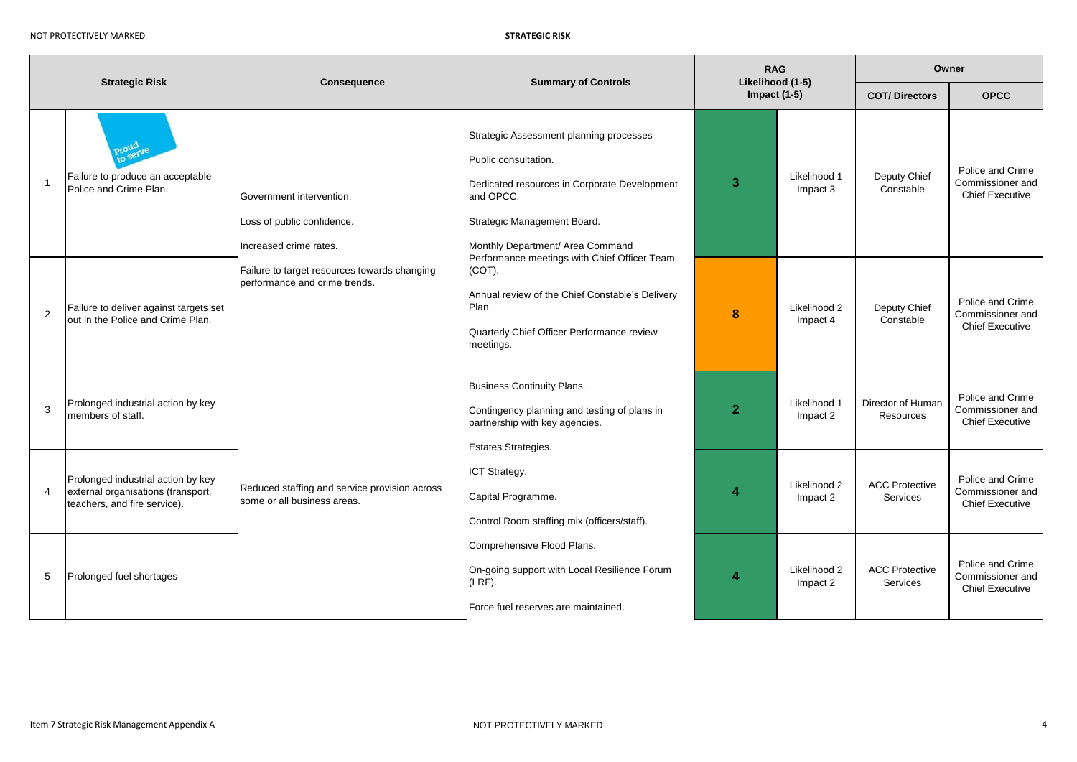NOT PROTECTIVELY MARKED **STRATEGIC RISK**

|                |                                                                                                          |                                                                                  |                                                                                                                                                                                                 |                | <b>RAG</b>                         |                                          | Owner                                                          |  |  |
|----------------|----------------------------------------------------------------------------------------------------------|----------------------------------------------------------------------------------|-------------------------------------------------------------------------------------------------------------------------------------------------------------------------------------------------|----------------|------------------------------------|------------------------------------------|----------------------------------------------------------------|--|--|
|                | <b>Strategic Risk</b>                                                                                    | Consequence                                                                      | <b>Summary of Controls</b>                                                                                                                                                                      |                | Likelihood (1-5)<br>Impact $(1-5)$ | <b>COT/Directors</b>                     | <b>OPCC</b>                                                    |  |  |
| $\overline{1}$ | Failure to produce an acceptable<br>Police and Crime Plan.                                               | Government intervention.<br>Loss of public confidence.<br>Increased crime rates. | Strategic Assessment planning processes<br>Public consultation.<br>Dedicated resources in Corporate Development<br>and OPCC.<br>Strategic Management Board.<br>Monthly Department/ Area Command | 3              | Likelihood 1<br>Impact 3           | Deputy Chief<br>Constable                | Police and Crime<br>Commissioner and<br><b>Chief Executive</b> |  |  |
| 2              | Failure to deliver against targets set<br>out in the Police and Crime Plan.                              | Failure to target resources towards changing<br>performance and crime trends.    | Performance meetings with Chief Officer Team<br>(COT).<br>Annual review of the Chief Constable's Delivery<br>Plan.<br>Quarterly Chief Officer Performance review<br>meetings.                   | 8              | Likelihood 2<br>Impact 4           | Deputy Chief<br>Constable                | Police and Crime<br>Commissioner and<br><b>Chief Executive</b> |  |  |
| 3              | Prolonged industrial action by key<br>members of staff.                                                  |                                                                                  | <b>Business Continuity Plans.</b><br>Contingency planning and testing of plans in<br>partnership with key agencies.<br>Estates Strategies.                                                      | $\overline{2}$ | Likelihood 1<br>Impact 2           | Director of Human<br>Resources           | Police and Crime<br>Commissioner and<br><b>Chief Executive</b> |  |  |
| $\overline{4}$ | Prolonged industrial action by key<br>external organisations (transport,<br>teachers, and fire service). | Reduced staffing and service provision across<br>some or all business areas.     | ICT Strategy.<br>Capital Programme.<br>Control Room staffing mix (officers/staff).                                                                                                              | 4              | Likelihood 2<br>Impact 2           | <b>ACC Protective</b><br><b>Services</b> | Police and Crime<br>Commissioner and<br><b>Chief Executive</b> |  |  |
| 5              | Prolonged fuel shortages                                                                                 |                                                                                  | Comprehensive Flood Plans.<br>On-going support with Local Resilience Forum<br>$(LRF)$ .<br>Force fuel reserves are maintained.                                                                  | 4              | Likelihood 2<br>Impact 2           | <b>ACC Protective</b><br>Services        | Police and Crime<br>Commissioner and<br><b>Chief Executive</b> |  |  |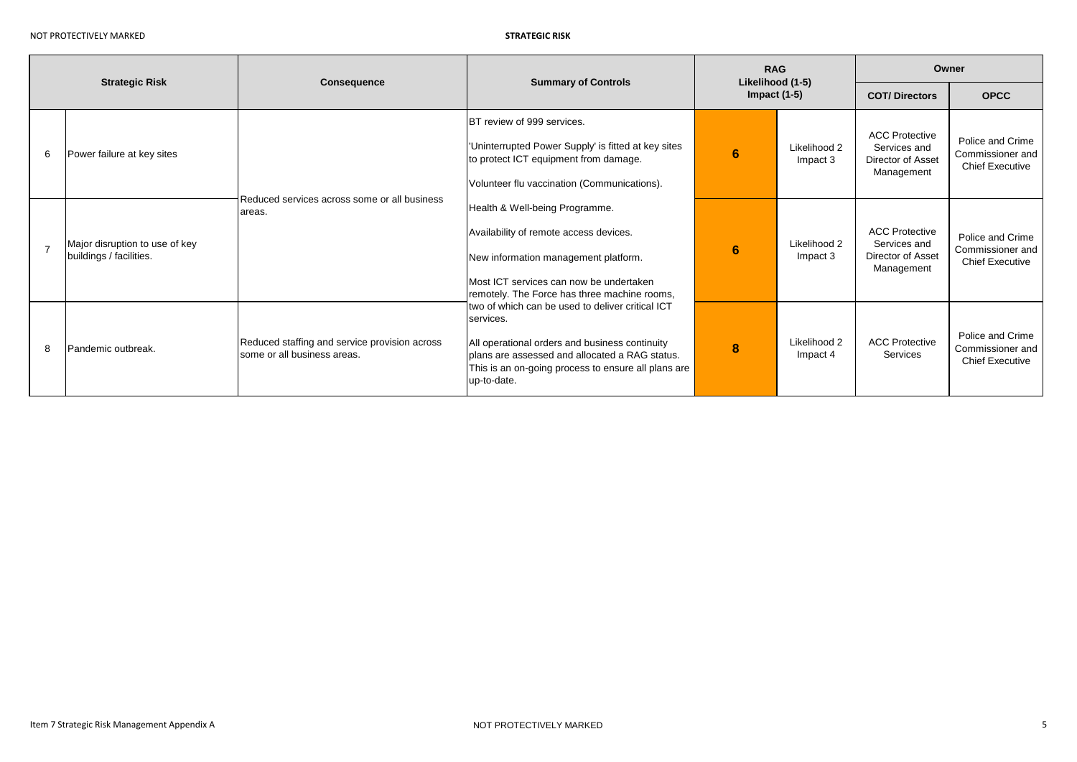STRATEGIC RISK

| <b>Strategic Risk</b> |                                                           | <b>Consequence</b>                                                           | <b>Summary of Controls</b>                                                                                                                                                                                                               | <b>RAG</b><br>Likelihood (1-5) |                          | Owner                                                                    |                                                                |
|-----------------------|-----------------------------------------------------------|------------------------------------------------------------------------------|------------------------------------------------------------------------------------------------------------------------------------------------------------------------------------------------------------------------------------------|--------------------------------|--------------------------|--------------------------------------------------------------------------|----------------------------------------------------------------|
|                       |                                                           |                                                                              |                                                                                                                                                                                                                                          | Impact $(1-5)$                 |                          | <b>COT/Directors</b>                                                     | <b>OPCC</b>                                                    |
| -6                    | Power failure at key sites                                |                                                                              | BT review of 999 services.<br>Uninterrupted Power Supply' is fitted at key sites<br>to protect ICT equipment from damage.<br>Volunteer flu vaccination (Communications).                                                                 | 6                              | Likelihood 2<br>Impact 3 | <b>ACC Protective</b><br>Services and<br>Director of Asset<br>Management | Police and Crime<br>Commissioner and<br><b>Chief Executive</b> |
| $\overline{7}$        | Major disruption to use of key<br>buildings / facilities. | Reduced services across some or all business<br>areas.                       | Health & Well-being Programme.<br>Availability of remote access devices.<br>New information management platform.<br>Most ICT services can now be undertaken<br>remotely. The Force has three machine rooms,                              | 6                              | Likelihood 2<br>Impact 3 | <b>ACC Protective</b><br>Services and<br>Director of Asset<br>Management | Police and Crime<br>Commissioner and<br><b>Chief Executive</b> |
| 8                     | Pandemic outbreak.                                        | Reduced staffing and service provision across<br>some or all business areas. | two of which can be used to deliver critical ICT<br>services.<br>All operational orders and business continuity<br>Iplans are assessed and allocated a RAG status.<br>This is an on-going process to ensure all plans are<br>up-to-date. | 8                              | Likelihood 2<br>Impact 4 | <b>ACC Protective</b><br>Services                                        | Police and Crime<br>Commissioner and<br><b>Chief Executive</b> |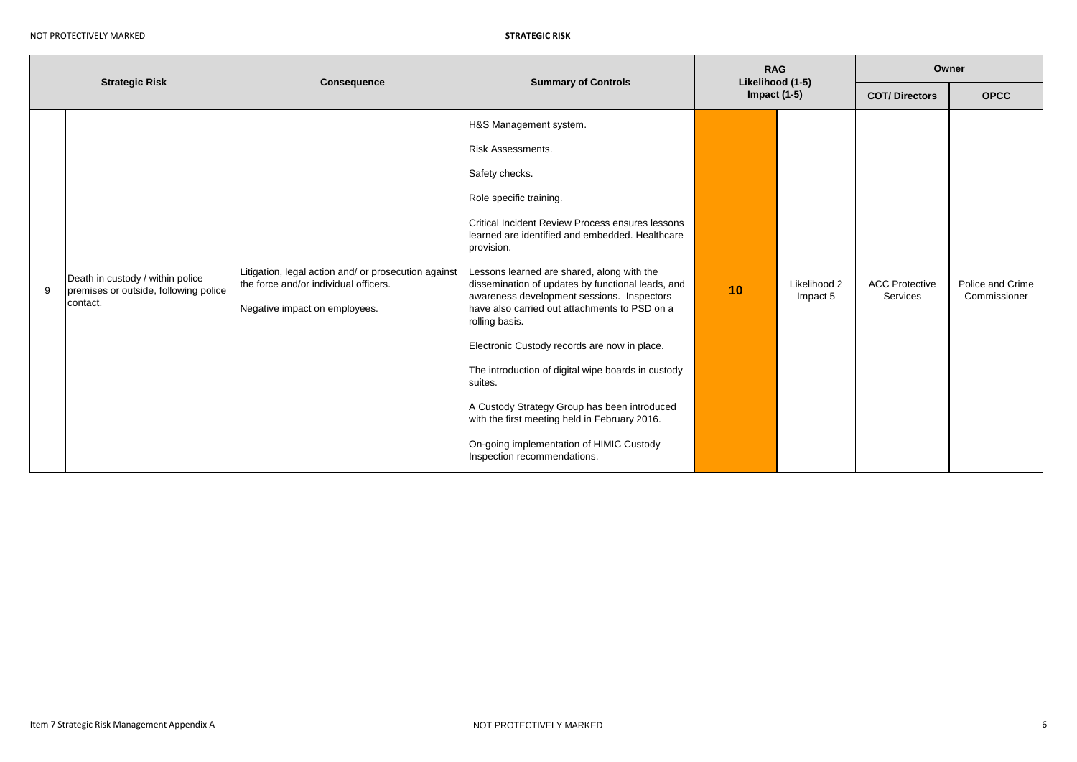|                                            | Likelihood (1-5)<br>Impact $(1-5)$                                                                                                                                                                                                                                                                                                                                                                                                                                                                         | <b>COT/Directors</b>              | <b>OPCC</b>                      |
|--------------------------------------------|------------------------------------------------------------------------------------------------------------------------------------------------------------------------------------------------------------------------------------------------------------------------------------------------------------------------------------------------------------------------------------------------------------------------------------------------------------------------------------------------------------|-----------------------------------|----------------------------------|
| 10                                         | Likelihood 2<br>Impact 5                                                                                                                                                                                                                                                                                                                                                                                                                                                                                   | <b>ACC Protective</b><br>Services | Police and Crime<br>Commissioner |
| Lessons learned are shared, along with the | Critical Incident Review Process ensures lessons<br>learned are identified and embedded. Healthcare<br>dissemination of updates by functional leads, and<br>awareness development sessions. Inspectors<br>have also carried out attachments to PSD on a<br>Electronic Custody records are now in place.<br>The introduction of digital wipe boards in custody<br>A Custody Strategy Group has been introduced<br>with the first meeting held in February 2016.<br>On-going implementation of HIMIC Custody |                                   |                                  |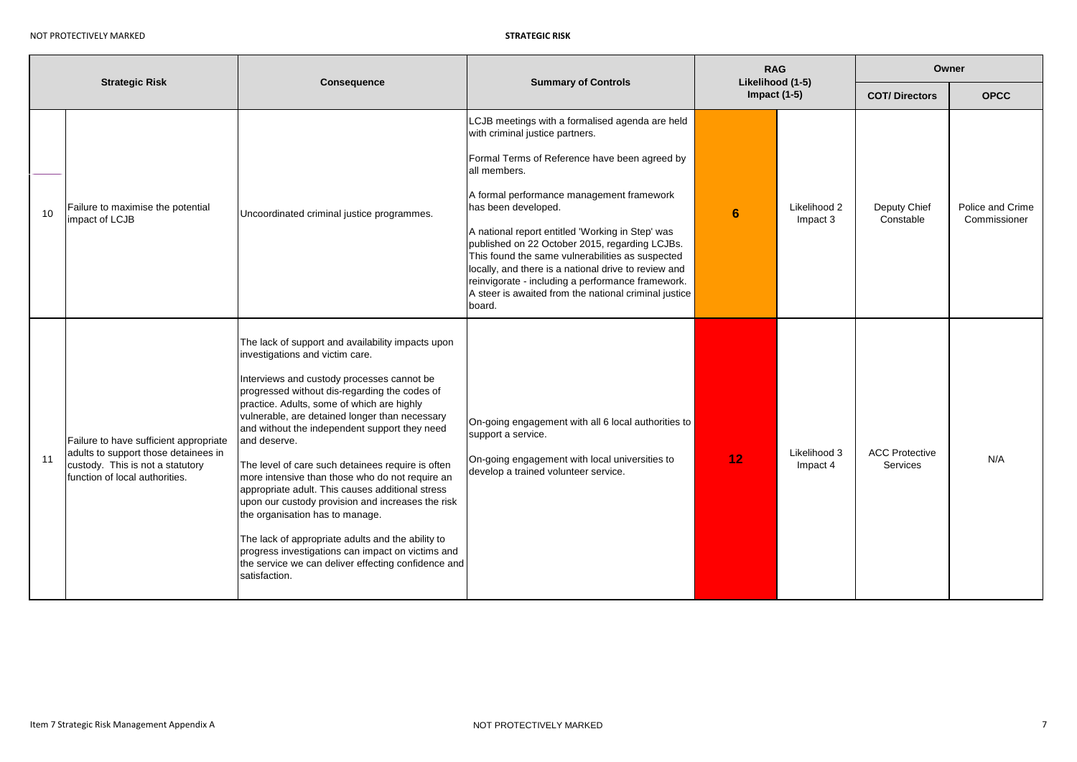| <b>Strategic Risk</b> |                                                                                                                                                      | <b>Consequence</b>                                                                                                                                                                                                                                                                                                                                                                                                                                                                                                                                                                                                                                                                                                                                                                         | <b>Summary of Controls</b>                                                                                                                                                                                                                                                                                                                                                                                                                                                                                                                                        | <b>RAG</b><br>Likelihood (1-5) |                          | Owner                             |                                  |  |
|-----------------------|------------------------------------------------------------------------------------------------------------------------------------------------------|--------------------------------------------------------------------------------------------------------------------------------------------------------------------------------------------------------------------------------------------------------------------------------------------------------------------------------------------------------------------------------------------------------------------------------------------------------------------------------------------------------------------------------------------------------------------------------------------------------------------------------------------------------------------------------------------------------------------------------------------------------------------------------------------|-------------------------------------------------------------------------------------------------------------------------------------------------------------------------------------------------------------------------------------------------------------------------------------------------------------------------------------------------------------------------------------------------------------------------------------------------------------------------------------------------------------------------------------------------------------------|--------------------------------|--------------------------|-----------------------------------|----------------------------------|--|
|                       |                                                                                                                                                      |                                                                                                                                                                                                                                                                                                                                                                                                                                                                                                                                                                                                                                                                                                                                                                                            |                                                                                                                                                                                                                                                                                                                                                                                                                                                                                                                                                                   | Impact $(1-5)$                 |                          | <b>COT/Directors</b>              | <b>OPCC</b>                      |  |
| 10                    | Failure to maximise the potential<br>impact of LCJB                                                                                                  | Uncoordinated criminal justice programmes.                                                                                                                                                                                                                                                                                                                                                                                                                                                                                                                                                                                                                                                                                                                                                 | LCJB meetings with a formalised agenda are held<br>with criminal justice partners.<br>Formal Terms of Reference have been agreed by<br>all members.<br>A formal performance management framework<br>has been developed.<br>A national report entitled 'Working in Step' was<br>published on 22 October 2015, regarding LCJBs.<br>This found the same vulnerabilities as suspected<br>locally, and there is a national drive to review and<br>reinvigorate - including a performance framework.<br>A steer is awaited from the national criminal justice<br>board. | 6                              | Likelihood 2<br>Impact 3 | Deputy Chief<br>Constable         | Police and Crime<br>Commissioner |  |
| 11                    | Failure to have sufficient appropriate<br>adults to support those detainees in<br>custody. This is not a statutory<br>function of local authorities. | The lack of support and availability impacts upon<br>investigations and victim care.<br>Interviews and custody processes cannot be<br>progressed without dis-regarding the codes of<br>practice. Adults, some of which are highly<br>vulnerable, are detained longer than necessary<br>and without the independent support they need<br>and deserve.<br>The level of care such detainees require is often<br>more intensive than those who do not require an<br>appropriate adult. This causes additional stress<br>upon our custody provision and increases the risk<br>the organisation has to manage.<br>The lack of appropriate adults and the ability to<br>progress investigations can impact on victims and<br>the service we can deliver effecting confidence and<br>satisfaction. | On-going engagement with all 6 local authorities to<br>support a service.<br>On-going engagement with local universities to<br>develop a trained volunteer service.                                                                                                                                                                                                                                                                                                                                                                                               | 12                             | Likelihood 3<br>Impact 4 | <b>ACC Protective</b><br>Services | N/A                              |  |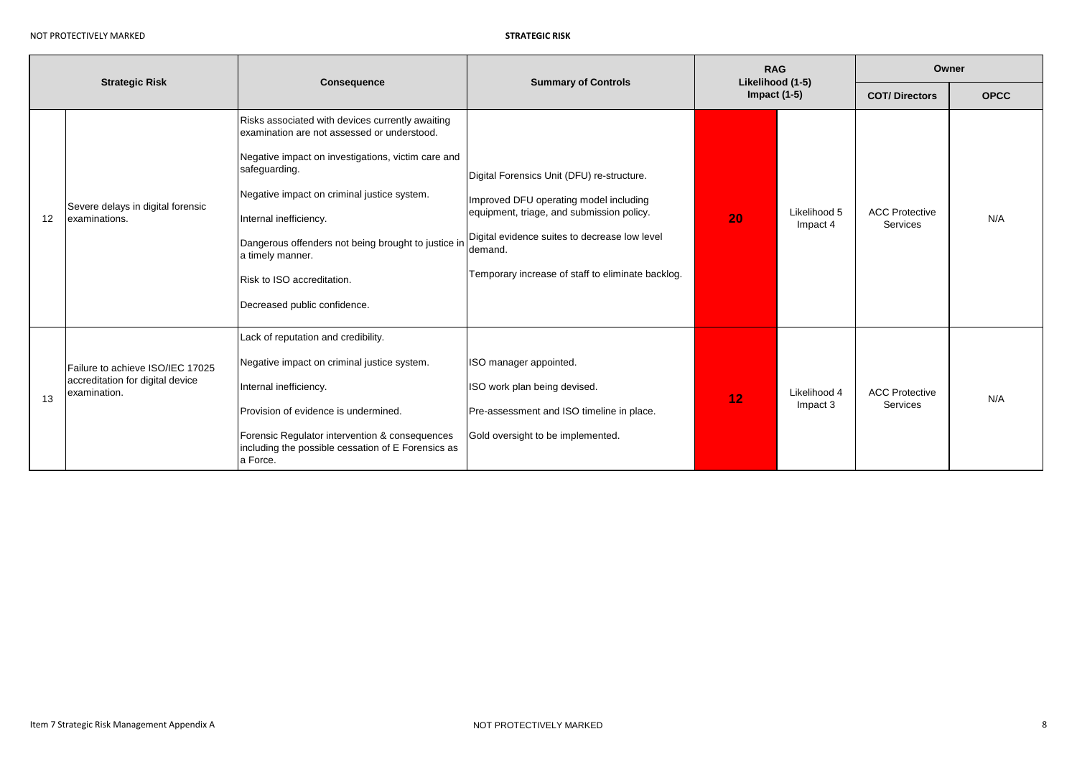|    | <b>Strategic Risk</b>                                                                | <b>Summary of Controls</b><br><b>Consequence</b>                                                                                                                                                                                                                                                                                                                                         |                                                                                                                                                                                                                                                    | <b>RAG</b><br>Likelihood (1-5)<br>Impact $(1-5)$ |                          | Owner                                    |             |  |
|----|--------------------------------------------------------------------------------------|------------------------------------------------------------------------------------------------------------------------------------------------------------------------------------------------------------------------------------------------------------------------------------------------------------------------------------------------------------------------------------------|----------------------------------------------------------------------------------------------------------------------------------------------------------------------------------------------------------------------------------------------------|--------------------------------------------------|--------------------------|------------------------------------------|-------------|--|
|    |                                                                                      |                                                                                                                                                                                                                                                                                                                                                                                          |                                                                                                                                                                                                                                                    |                                                  |                          | <b>COT/Directors</b>                     | <b>OPCC</b> |  |
| 12 | Severe delays in digital forensic<br>examinations.                                   | Risks associated with devices currently awaiting<br>examination are not assessed or understood.<br>Negative impact on investigations, victim care and<br>safeguarding.<br>Negative impact on criminal justice system.<br>Internal inefficiency.<br>Dangerous offenders not being brought to justice in<br>a timely manner.<br>Risk to ISO accreditation.<br>Decreased public confidence. | Digital Forensics Unit (DFU) re-structure.<br>Improved DFU operating model including<br>equipment, triage, and submission policy.<br>Digital evidence suites to decrease low level<br>demand.<br>Temporary increase of staff to eliminate backlog. | 20                                               | Likelihood 5<br>Impact 4 | <b>ACC Protective</b><br><b>Services</b> | N/A         |  |
| 13 | Failure to achieve ISO/IEC 17025<br>accreditation for digital device<br>examination. | Lack of reputation and credibility.<br>Negative impact on criminal justice system.<br>Internal inefficiency.<br>Provision of evidence is undermined.<br>Forensic Regulator intervention & consequences<br>including the possible cessation of E Forensics as<br>a Force.                                                                                                                 | ISO manager appointed.<br>ISO work plan being devised.<br>Pre-assessment and ISO timeline in place.<br>Gold oversight to be implemented.                                                                                                           | 12                                               | Likelihood 4<br>Impact 3 | <b>ACC Protective</b><br>Services        | N/A         |  |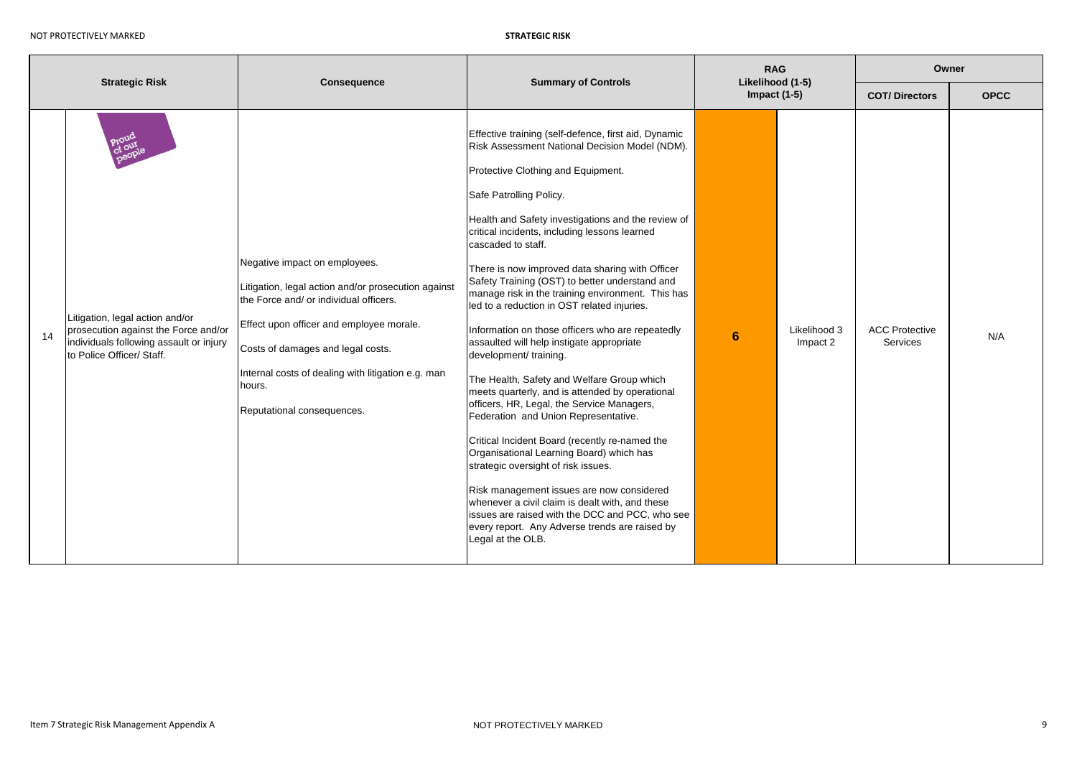| <b>Strategic Risk</b> |                                                                                                                                                 |                                                                                                                                                                                                                                                                                                               | <b>Summary of Controls</b>                                                                                                                                                                                                                                                                                                                                                                                                                                                                                                                                                                                                                                                                                                                                                                                                                                                                                                                                                                                                                                                                                                                                                                     | <b>RAG</b><br>Likelihood (1-5) |                          | Owner                             |             |  |
|-----------------------|-------------------------------------------------------------------------------------------------------------------------------------------------|---------------------------------------------------------------------------------------------------------------------------------------------------------------------------------------------------------------------------------------------------------------------------------------------------------------|------------------------------------------------------------------------------------------------------------------------------------------------------------------------------------------------------------------------------------------------------------------------------------------------------------------------------------------------------------------------------------------------------------------------------------------------------------------------------------------------------------------------------------------------------------------------------------------------------------------------------------------------------------------------------------------------------------------------------------------------------------------------------------------------------------------------------------------------------------------------------------------------------------------------------------------------------------------------------------------------------------------------------------------------------------------------------------------------------------------------------------------------------------------------------------------------|--------------------------------|--------------------------|-----------------------------------|-------------|--|
|                       |                                                                                                                                                 | <b>Consequence</b>                                                                                                                                                                                                                                                                                            |                                                                                                                                                                                                                                                                                                                                                                                                                                                                                                                                                                                                                                                                                                                                                                                                                                                                                                                                                                                                                                                                                                                                                                                                | Impact $(1-5)$                 |                          | <b>COT/Directors</b>              | <b>OPCC</b> |  |
| 14                    | Litigation, legal action and/or<br>prosecution against the Force and/or<br>individuals following assault or injury<br>to Police Officer/ Staff. | Negative impact on employees.<br>Litigation, legal action and/or prosecution against<br>the Force and/ or individual officers.<br>Effect upon officer and employee morale.<br>Costs of damages and legal costs.<br>Internal costs of dealing with litigation e.g. man<br>hours.<br>Reputational consequences. | Effective training (self-defence, first aid, Dynamic<br>Risk Assessment National Decision Model (NDM).<br>Protective Clothing and Equipment.<br>Safe Patrolling Policy.<br>Health and Safety investigations and the review of<br>critical incidents, including lessons learned<br>cascaded to staff.<br>There is now improved data sharing with Officer<br>Safety Training (OST) to better understand and<br>manage risk in the training environment. This has<br>led to a reduction in OST related injuries.<br>Information on those officers who are repeatedly<br>assaulted will help instigate appropriate<br>development/ training.<br>The Health, Safety and Welfare Group which<br>meets quarterly, and is attended by operational<br>officers, HR, Legal, the Service Managers,<br>Federation and Union Representative.<br>Critical Incident Board (recently re-named the<br>Organisational Learning Board) which has<br>strategic oversight of risk issues.<br>Risk management issues are now considered<br>whenever a civil claim is dealt with, and these<br>issues are raised with the DCC and PCC, who see<br>every report. Any Adverse trends are raised by<br>Legal at the OLB. | 6                              | Likelihood 3<br>Impact 2 | <b>ACC Protective</b><br>Services | N/A         |  |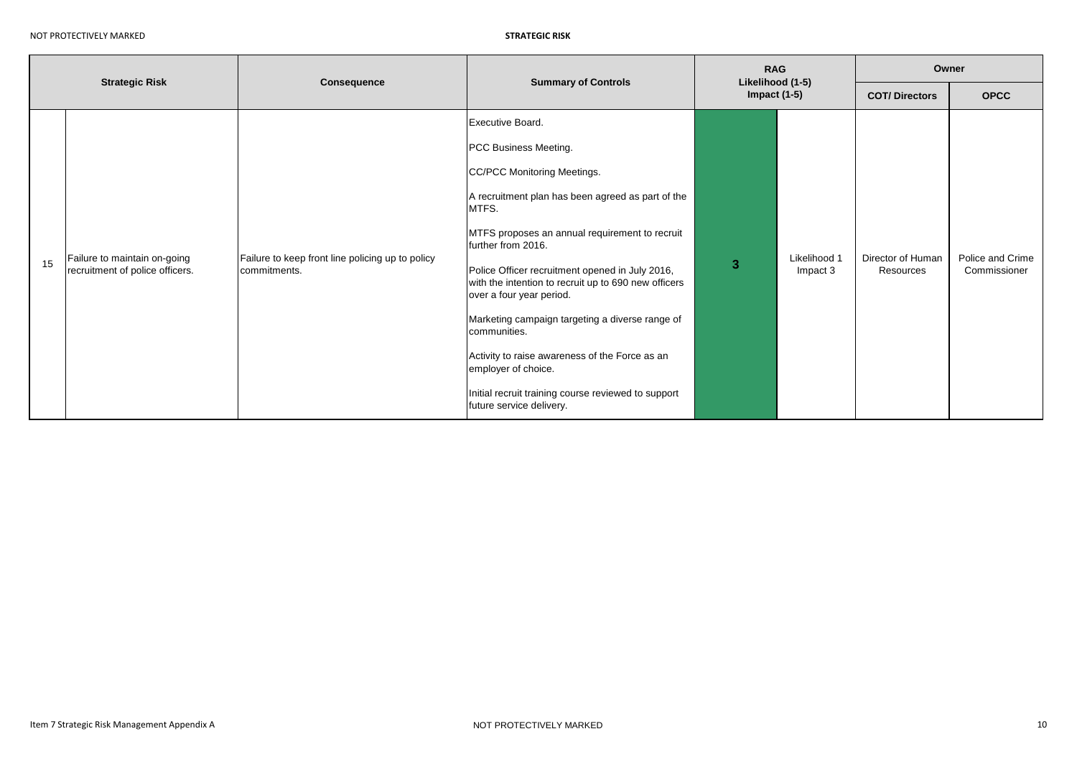| <b>Strategic Risk</b> |                                                                 | <b>Consequence</b>                                               | <b>Summary of Controls</b>                                                                                                                                                                                                                                                                                                                                                                                                                                                                                                                                                           | <b>RAG</b><br>Likelihood (1-5)<br>Impact $(1-5)$ |                          | Owner                          |                                  |  |
|-----------------------|-----------------------------------------------------------------|------------------------------------------------------------------|--------------------------------------------------------------------------------------------------------------------------------------------------------------------------------------------------------------------------------------------------------------------------------------------------------------------------------------------------------------------------------------------------------------------------------------------------------------------------------------------------------------------------------------------------------------------------------------|--------------------------------------------------|--------------------------|--------------------------------|----------------------------------|--|
|                       |                                                                 |                                                                  |                                                                                                                                                                                                                                                                                                                                                                                                                                                                                                                                                                                      |                                                  |                          | <b>COT/Directors</b>           | <b>OPCC</b>                      |  |
| 15                    | Failure to maintain on-going<br>recruitment of police officers. | Failure to keep front line policing up to policy<br>commitments. | Executive Board.<br>PCC Business Meeting.<br>CC/PCC Monitoring Meetings.<br>A recruitment plan has been agreed as part of the<br>MTFS.<br>MTFS proposes an annual requirement to recruit<br>further from 2016.<br>Police Officer recruitment opened in July 2016,<br>with the intention to recruit up to 690 new officers<br>over a four year period.<br>Marketing campaign targeting a diverse range of<br>communities.<br>Activity to raise awareness of the Force as an<br>employer of choice.<br>Initial recruit training course reviewed to support<br>future service delivery. | 3                                                | Likelihood 1<br>Impact 3 | Director of Human<br>Resources | Police and Crime<br>Commissioner |  |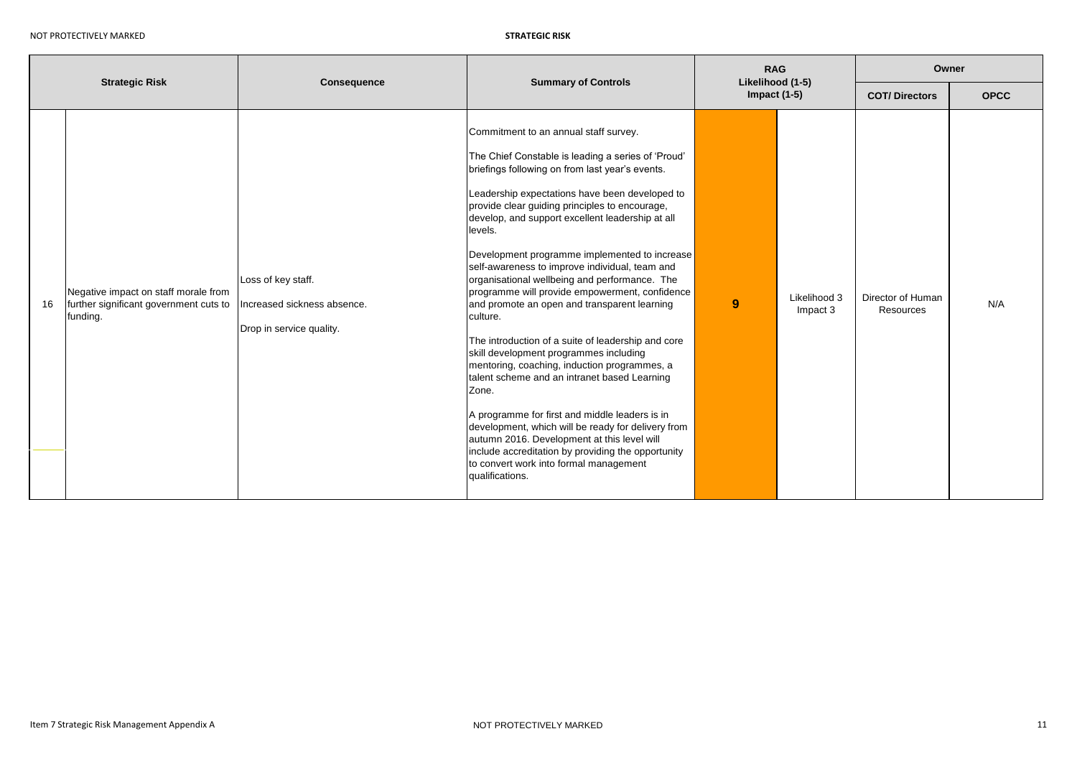| <b>Strategic Risk</b> |                                                                                            | Consequence                                                                   | <b>Summary of Controls</b>                                                                                                                                                                                                                                                                                                                                                                                                                                                                                                                                                                                                                                                                                                                                                                                                                                                                                                                                                                                                                                             | <b>RAG</b><br>Likelihood (1-5)<br>Impact $(1-5)$ |                          | Owner                          |             |  |
|-----------------------|--------------------------------------------------------------------------------------------|-------------------------------------------------------------------------------|------------------------------------------------------------------------------------------------------------------------------------------------------------------------------------------------------------------------------------------------------------------------------------------------------------------------------------------------------------------------------------------------------------------------------------------------------------------------------------------------------------------------------------------------------------------------------------------------------------------------------------------------------------------------------------------------------------------------------------------------------------------------------------------------------------------------------------------------------------------------------------------------------------------------------------------------------------------------------------------------------------------------------------------------------------------------|--------------------------------------------------|--------------------------|--------------------------------|-------------|--|
|                       |                                                                                            |                                                                               |                                                                                                                                                                                                                                                                                                                                                                                                                                                                                                                                                                                                                                                                                                                                                                                                                                                                                                                                                                                                                                                                        |                                                  |                          | <b>COT/Directors</b>           | <b>OPCC</b> |  |
| 16                    | Negative impact on staff morale from<br>further significant government cuts to<br>funding. | Loss of key staff.<br>Increased sickness absence.<br>Drop in service quality. | Commitment to an annual staff survey.<br>The Chief Constable is leading a series of 'Proud'<br>briefings following on from last year's events.<br>Leadership expectations have been developed to<br>provide clear guiding principles to encourage,<br>develop, and support excellent leadership at all<br>levels.<br>Development programme implemented to increase<br>self-awareness to improve individual, team and<br>organisational wellbeing and performance. The<br>programme will provide empowerment, confidence<br>and promote an open and transparent learning<br>culture.<br>The introduction of a suite of leadership and core<br>skill development programmes including<br>mentoring, coaching, induction programmes, a<br>talent scheme and an intranet based Learning<br>Zone.<br>A programme for first and middle leaders is in<br>development, which will be ready for delivery from<br>autumn 2016. Development at this level will<br>include accreditation by providing the opportunity<br>to convert work into formal management<br>qualifications. | 9                                                | Likelihood 3<br>Impact 3 | Director of Human<br>Resources | N/A         |  |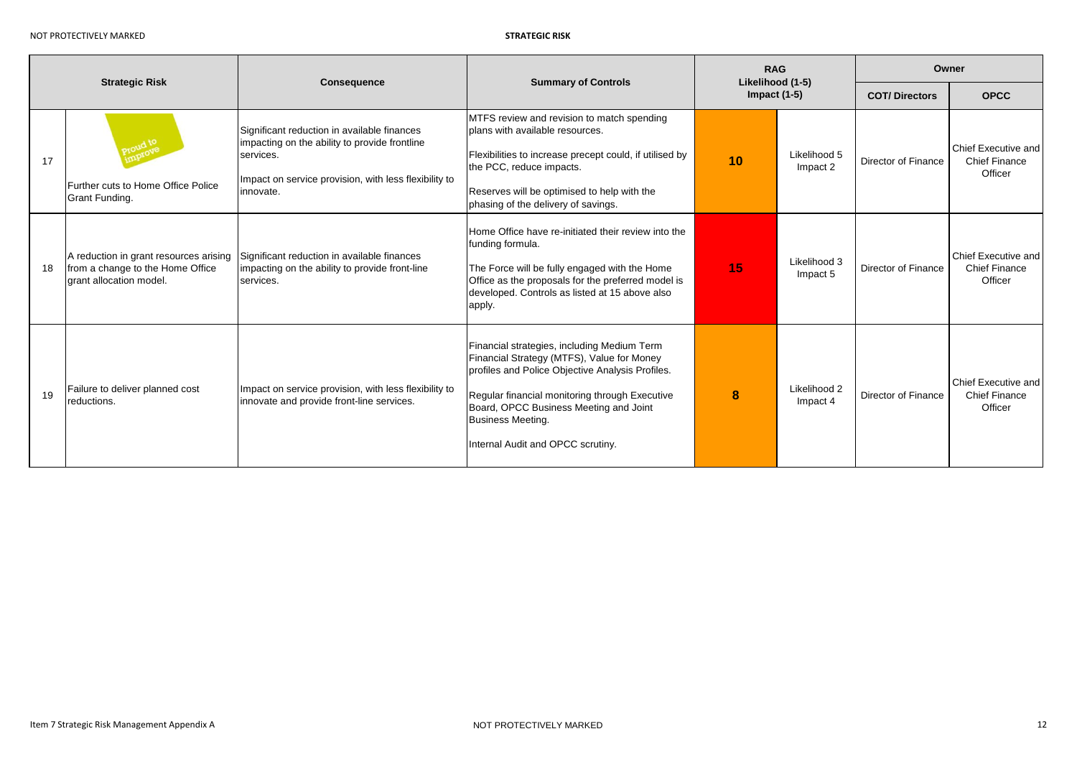| <b>Strategic Risk</b> |                                                                                                       | <b>Consequence</b>                                                                                                                                                              | <b>Summary of Controls</b>                                                                                                                                                                                                                                                                                 | <b>RAG</b><br>Likelihood (1-5) |                          | Owner                |                                                        |  |
|-----------------------|-------------------------------------------------------------------------------------------------------|---------------------------------------------------------------------------------------------------------------------------------------------------------------------------------|------------------------------------------------------------------------------------------------------------------------------------------------------------------------------------------------------------------------------------------------------------------------------------------------------------|--------------------------------|--------------------------|----------------------|--------------------------------------------------------|--|
|                       |                                                                                                       |                                                                                                                                                                                 |                                                                                                                                                                                                                                                                                                            | Impact $(1-5)$                 |                          | <b>COT/Directors</b> | <b>OPCC</b>                                            |  |
| 17                    | foud to<br>Further cuts to Home Office Police<br>Grant Funding.                                       | Significant reduction in available finances<br>impacting on the ability to provide frontline<br>services.<br>Impact on service provision, with less flexibility to<br>innovate. | MTFS review and revision to match spending<br>plans with available resources.<br>Flexibilities to increase precept could, if utilised by<br>the PCC, reduce impacts.<br>Reserves will be optimised to help with the<br>phasing of the delivery of savings.                                                 | 10                             | Likelihood 5<br>Impact 2 | Director of Finance  | Chief Executive and<br>Chief Finance<br>Officer        |  |
| 18                    | A reduction in grant resources arising<br>from a change to the Home Office<br>grant allocation model. | Significant reduction in available finances<br>impacting on the ability to provide front-line<br>services.                                                                      | Home Office have re-initiated their review into the<br>funding formula.<br>The Force will be fully engaged with the Home<br>Office as the proposals for the preferred model is<br>developed. Controls as listed at 15 above also<br>apply.                                                                 | 15                             | Likelihood 3<br>Impact 5 | Director of Finance  | Chief Executive and<br><b>Chief Finance</b><br>Officer |  |
| 19                    | Failure to deliver planned cost<br>reductions.                                                        | Impact on service provision, with less flexibility to<br>innovate and provide front-line services.                                                                              | Financial strategies, including Medium Term<br>Financial Strategy (MTFS), Value for Money<br>profiles and Police Objective Analysis Profiles.<br>Regular financial monitoring through Executive<br>Board, OPCC Business Meeting and Joint<br><b>Business Meeting.</b><br>Internal Audit and OPCC scrutiny. | 8                              | Likelihood 2<br>Impact 4 | Director of Finance  | Chief Executive and<br><b>Chief Finance</b><br>Officer |  |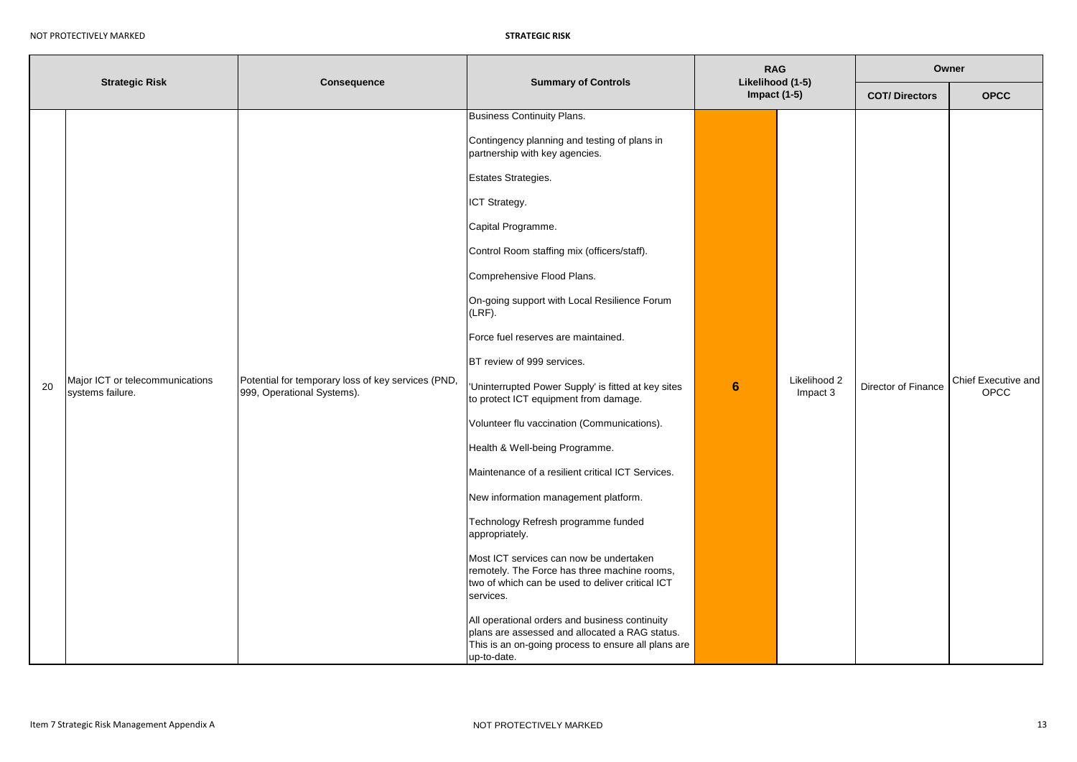| <b>Strategic Risk</b> |                                                     | Consequence                                                                      | <b>Summary of Controls</b>                                                                                                                                                                                                                                                                                                                                                                                                                                                                                                                                                                                                                                                                                                                                                                                                                                                                                                                                                                                                                                                 | <b>RAG</b><br>Likelihood (1-5) |                          | Owner                |                             |  |
|-----------------------|-----------------------------------------------------|----------------------------------------------------------------------------------|----------------------------------------------------------------------------------------------------------------------------------------------------------------------------------------------------------------------------------------------------------------------------------------------------------------------------------------------------------------------------------------------------------------------------------------------------------------------------------------------------------------------------------------------------------------------------------------------------------------------------------------------------------------------------------------------------------------------------------------------------------------------------------------------------------------------------------------------------------------------------------------------------------------------------------------------------------------------------------------------------------------------------------------------------------------------------|--------------------------------|--------------------------|----------------------|-----------------------------|--|
|                       |                                                     |                                                                                  |                                                                                                                                                                                                                                                                                                                                                                                                                                                                                                                                                                                                                                                                                                                                                                                                                                                                                                                                                                                                                                                                            | Impact $(1-5)$                 |                          | <b>COT/Directors</b> | <b>OPCC</b>                 |  |
| 20                    | Major ICT or telecommunications<br>systems failure. | Potential for temporary loss of key services (PND,<br>999, Operational Systems). | <b>Business Continuity Plans.</b><br>Contingency planning and testing of plans in<br>partnership with key agencies.<br>Estates Strategies.<br>ICT Strategy.<br>Capital Programme.<br>Control Room staffing mix (officers/staff).<br>Comprehensive Flood Plans.<br>On-going support with Local Resilience Forum<br>(LRF).<br>Force fuel reserves are maintained.<br>BT review of 999 services.<br>'Uninterrupted Power Supply' is fitted at key sites<br>to protect ICT equipment from damage.<br>Volunteer flu vaccination (Communications).<br>Health & Well-being Programme.<br>Maintenance of a resilient critical ICT Services.<br>New information management platform.<br>Technology Refresh programme funded<br>appropriately.<br>Most ICT services can now be undertaken<br>remotely. The Force has three machine rooms,<br>two of which can be used to deliver critical ICT<br>services.<br>All operational orders and business continuity<br>plans are assessed and allocated a RAG status.<br>This is an on-going process to ensure all plans are<br>up-to-date. | 6                              | Likelihood 2<br>Impact 3 | Director of Finance  | Chief Executive and<br>OPCC |  |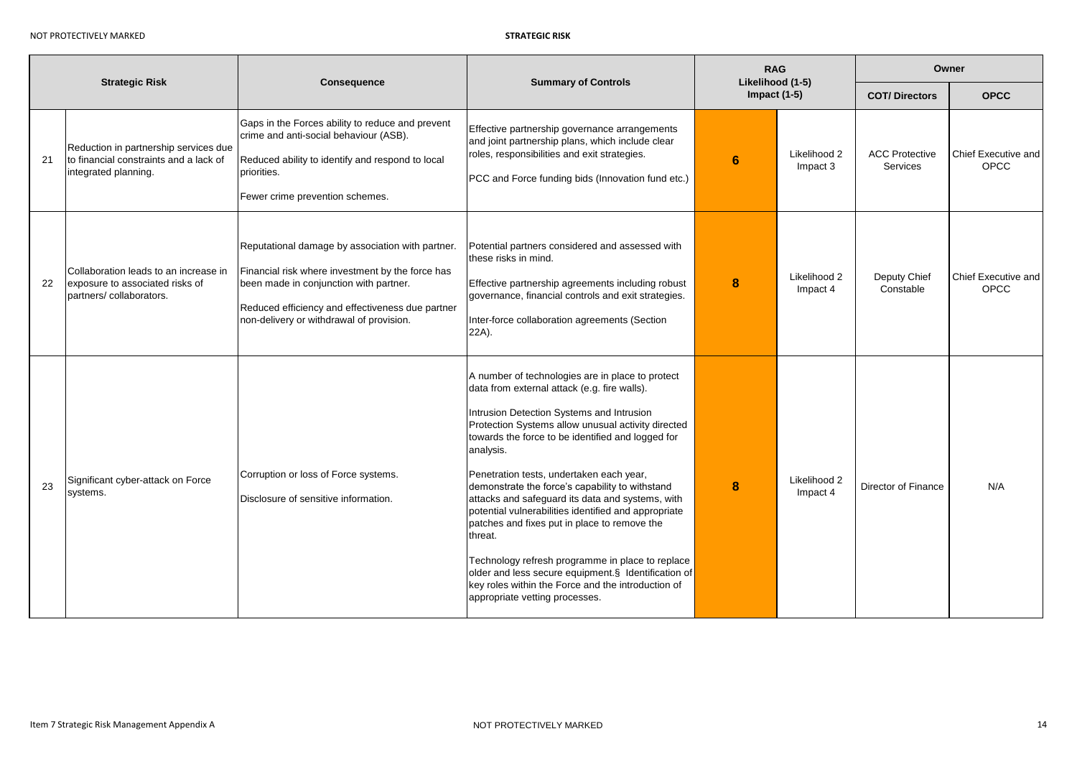| <b>Strategic Risk</b> |                                                                                                         | Consequence<br><b>Summary of Controls</b>                                                                                                                                                                                                      |                                                                                                                                                                                                                                                                                                                                                                                                                                                                                                                                                                                                                                                                                                                                                | <b>RAG</b><br>Likelihood (1-5)<br>Impact $(1-5)$ |                          | Owner                             |                                    |
|-----------------------|---------------------------------------------------------------------------------------------------------|------------------------------------------------------------------------------------------------------------------------------------------------------------------------------------------------------------------------------------------------|------------------------------------------------------------------------------------------------------------------------------------------------------------------------------------------------------------------------------------------------------------------------------------------------------------------------------------------------------------------------------------------------------------------------------------------------------------------------------------------------------------------------------------------------------------------------------------------------------------------------------------------------------------------------------------------------------------------------------------------------|--------------------------------------------------|--------------------------|-----------------------------------|------------------------------------|
|                       |                                                                                                         |                                                                                                                                                                                                                                                |                                                                                                                                                                                                                                                                                                                                                                                                                                                                                                                                                                                                                                                                                                                                                |                                                  |                          | <b>COT/Directors</b>              | <b>OPCC</b>                        |
| 21                    | Reduction in partnership services due<br>to financial constraints and a lack of<br>integrated planning. | Gaps in the Forces ability to reduce and prevent<br>crime and anti-social behaviour (ASB).<br>Reduced ability to identify and respond to local<br>priorities.<br>Fewer crime prevention schemes.                                               | Effective partnership governance arrangements<br>and joint partnership plans, which include clear<br>roles, responsibilities and exit strategies.<br>PCC and Force funding bids (Innovation fund etc.)                                                                                                                                                                                                                                                                                                                                                                                                                                                                                                                                         | 6                                                | Likelihood 2<br>Impact 3 | <b>ACC Protective</b><br>Services | Chief Executive and<br><b>OPCC</b> |
| 22                    | Collaboration leads to an increase in<br>exposure to associated risks of<br>partners/collaborators.     | Reputational damage by association with partner.<br>Financial risk where investment by the force has<br>been made in conjunction with partner.<br>Reduced efficiency and effectiveness due partner<br>non-delivery or withdrawal of provision. | Potential partners considered and assessed with<br>these risks in mind.<br>Effective partnership agreements including robust<br>governance, financial controls and exit strategies.<br>Inter-force collaboration agreements (Section<br>22A).                                                                                                                                                                                                                                                                                                                                                                                                                                                                                                  | 8                                                | Likelihood 2<br>Impact 4 | Deputy Chief<br>Constable         | Chief Executive and<br>OPCC        |
| 23                    | Significant cyber-attack on Force<br>systems.                                                           | Corruption or loss of Force systems.<br>Disclosure of sensitive information.                                                                                                                                                                   | A number of technologies are in place to protect<br>data from external attack (e.g. fire walls).<br>Intrusion Detection Systems and Intrusion<br>Protection Systems allow unusual activity directed<br>towards the force to be identified and logged for<br>analysis.<br>Penetration tests, undertaken each year,<br>demonstrate the force's capability to withstand<br>attacks and safeguard its data and systems, with<br>potential vulnerabilities identified and appropriate<br>patches and fixes put in place to remove the<br>threat.<br>Technology refresh programme in place to replace<br>older and less secure equipment.§ Identification of<br>key roles within the Force and the introduction of<br>appropriate vetting processes. | 8                                                | Likelihood 2<br>Impact 4 | Director of Finance               | N/A                                |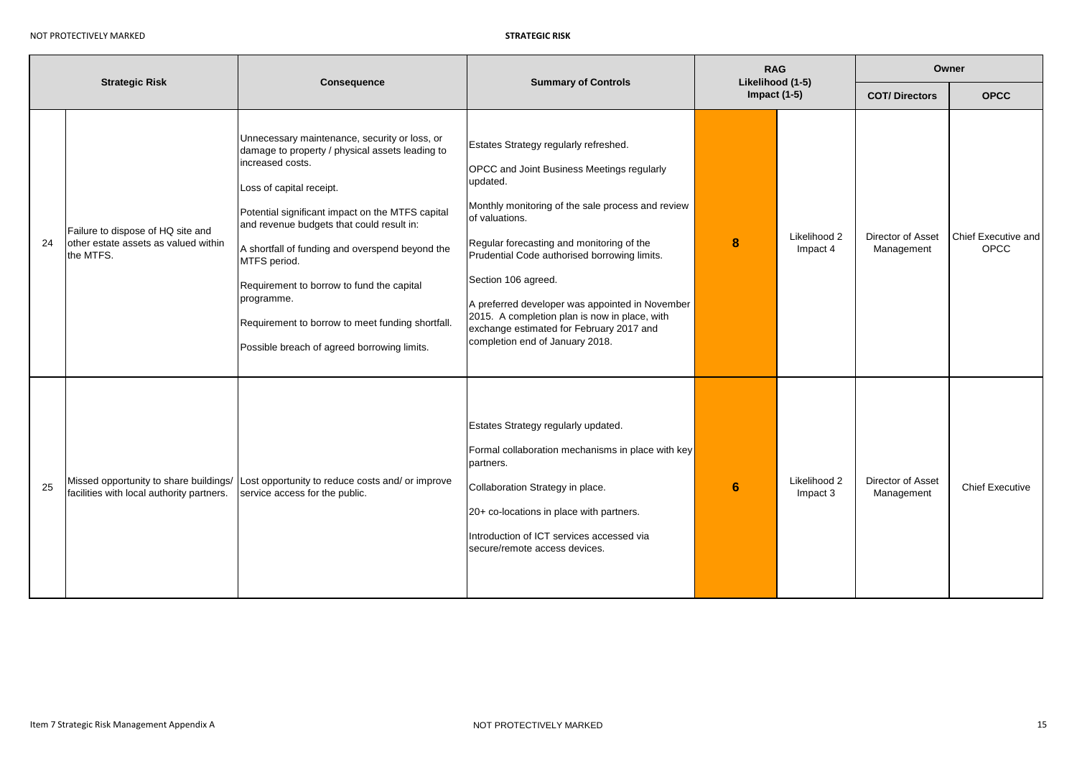| <b>Strategic Risk</b> |                                                                                        | Consequence                                                                                                                                                                                                                                                                                                                                                                                                                                                                        | <b>Summary of Controls</b>                                                                                                                                                                                                                                                                                                                                                                                                                                                           |                | <b>RAG</b><br>Likelihood (1-5) | Owner                           |                             |  |
|-----------------------|----------------------------------------------------------------------------------------|------------------------------------------------------------------------------------------------------------------------------------------------------------------------------------------------------------------------------------------------------------------------------------------------------------------------------------------------------------------------------------------------------------------------------------------------------------------------------------|--------------------------------------------------------------------------------------------------------------------------------------------------------------------------------------------------------------------------------------------------------------------------------------------------------------------------------------------------------------------------------------------------------------------------------------------------------------------------------------|----------------|--------------------------------|---------------------------------|-----------------------------|--|
|                       |                                                                                        |                                                                                                                                                                                                                                                                                                                                                                                                                                                                                    |                                                                                                                                                                                                                                                                                                                                                                                                                                                                                      | Impact $(1-5)$ |                                | <b>COT/Directors</b>            | <b>OPCC</b>                 |  |
| 24                    | Failure to dispose of HQ site and<br>other estate assets as valued within<br>the MTFS. | Unnecessary maintenance, security or loss, or<br>damage to property / physical assets leading to<br>increased costs.<br>Loss of capital receipt.<br>Potential significant impact on the MTFS capital<br>and revenue budgets that could result in:<br>A shortfall of funding and overspend beyond the<br>MTFS period.<br>Requirement to borrow to fund the capital<br>programme.<br>Requirement to borrow to meet funding shortfall.<br>Possible breach of agreed borrowing limits. | Estates Strategy regularly refreshed.<br><b>OPCC</b> and Joint Business Meetings regularly<br>updated.<br>Monthly monitoring of the sale process and review<br>of valuations.<br>Regular forecasting and monitoring of the<br>Prudential Code authorised borrowing limits.<br>Section 106 agreed.<br>A preferred developer was appointed in November<br>2015. A completion plan is now in place, with<br>exchange estimated for February 2017 and<br>completion end of January 2018. | 8              | Likelihood 2<br>Impact 4       | Director of Asset<br>Management | Chief Executive and<br>OPCC |  |
| 25                    | Missed opportunity to share buildings/<br>facilities with local authority partners.    | Lost opportunity to reduce costs and/ or improve<br>service access for the public.                                                                                                                                                                                                                                                                                                                                                                                                 | Estates Strategy regularly updated.<br>Formal collaboration mechanisms in place with key<br>partners.<br>Collaboration Strategy in place.<br>20+ co-locations in place with partners.<br>Introduction of ICT services accessed via<br>secure/remote access devices.                                                                                                                                                                                                                  | 6              | Likelihood 2<br>Impact 3       | Director of Asset<br>Management | <b>Chief Executive</b>      |  |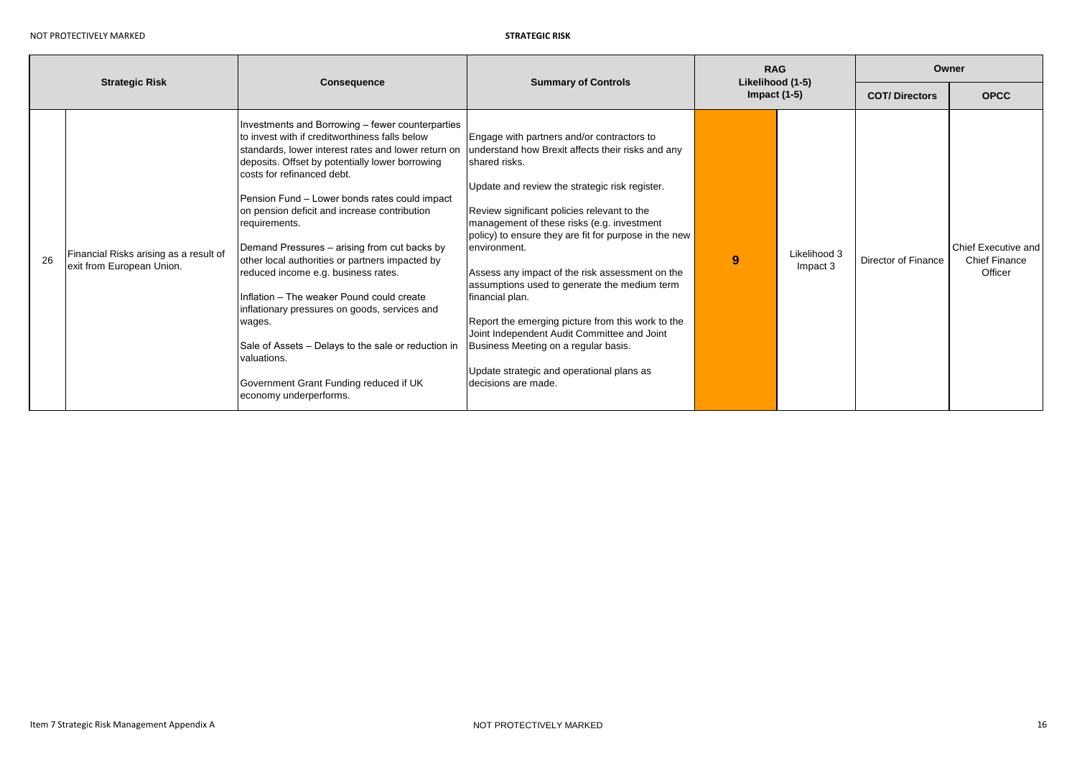| <b>Strategic Risk</b> |                                                                     | <b>Consequence</b>                                                                                                                                                                                                                                                                                                                                                                                                                                                                                                                                                                                                                                                                                                                                       | <b>Summary of Controls</b>                                                                                                                                                                                                                                                                                                                                                                                                                                                                                                                                                                                                                                                      | <b>RAG</b><br>Likelihood (1-5)<br>Impact $(1-5)$ |                          | Owner                |                                                        |
|-----------------------|---------------------------------------------------------------------|----------------------------------------------------------------------------------------------------------------------------------------------------------------------------------------------------------------------------------------------------------------------------------------------------------------------------------------------------------------------------------------------------------------------------------------------------------------------------------------------------------------------------------------------------------------------------------------------------------------------------------------------------------------------------------------------------------------------------------------------------------|---------------------------------------------------------------------------------------------------------------------------------------------------------------------------------------------------------------------------------------------------------------------------------------------------------------------------------------------------------------------------------------------------------------------------------------------------------------------------------------------------------------------------------------------------------------------------------------------------------------------------------------------------------------------------------|--------------------------------------------------|--------------------------|----------------------|--------------------------------------------------------|
|                       |                                                                     |                                                                                                                                                                                                                                                                                                                                                                                                                                                                                                                                                                                                                                                                                                                                                          |                                                                                                                                                                                                                                                                                                                                                                                                                                                                                                                                                                                                                                                                                 |                                                  |                          | <b>COT/Directors</b> | <b>OPCC</b>                                            |
| 26                    | Financial Risks arising as a result of<br>exit from European Union. | Investments and Borrowing - fewer counterparties<br>to invest with if creditworthiness falls below<br>standards, lower interest rates and lower return on<br>deposits. Offset by potentially lower borrowing<br>costs for refinanced debt.<br>Pension Fund - Lower bonds rates could impact<br>on pension deficit and increase contribution<br>requirements.<br>Demand Pressures - arising from cut backs by<br>other local authorities or partners impacted by<br>reduced income e.g. business rates.<br>Inflation - The weaker Pound could create<br>inflationary pressures on goods, services and<br>wages.<br>Sale of Assets - Delays to the sale or reduction in<br>valuations.<br>Government Grant Funding reduced if UK<br>economy underperforms. | Engage with partners and/or contractors to<br>understand how Brexit affects their risks and any<br>shared risks.<br>Update and review the strategic risk register.<br>Review significant policies relevant to the<br>management of these risks (e.g. investment<br>policy) to ensure they are fit for purpose in the new<br>environment.<br>Assess any impact of the risk assessment on the<br>assumptions used to generate the medium term<br>financial plan.<br>Report the emerging picture from this work to the<br>Joint Independent Audit Committee and Joint<br>Business Meeting on a regular basis.<br>Update strategic and operational plans as<br>Idecisions are made. | 9                                                | Likelihood 3<br>Impact 3 | Director of Finance  | Chief Executive and<br><b>Chief Finance</b><br>Officer |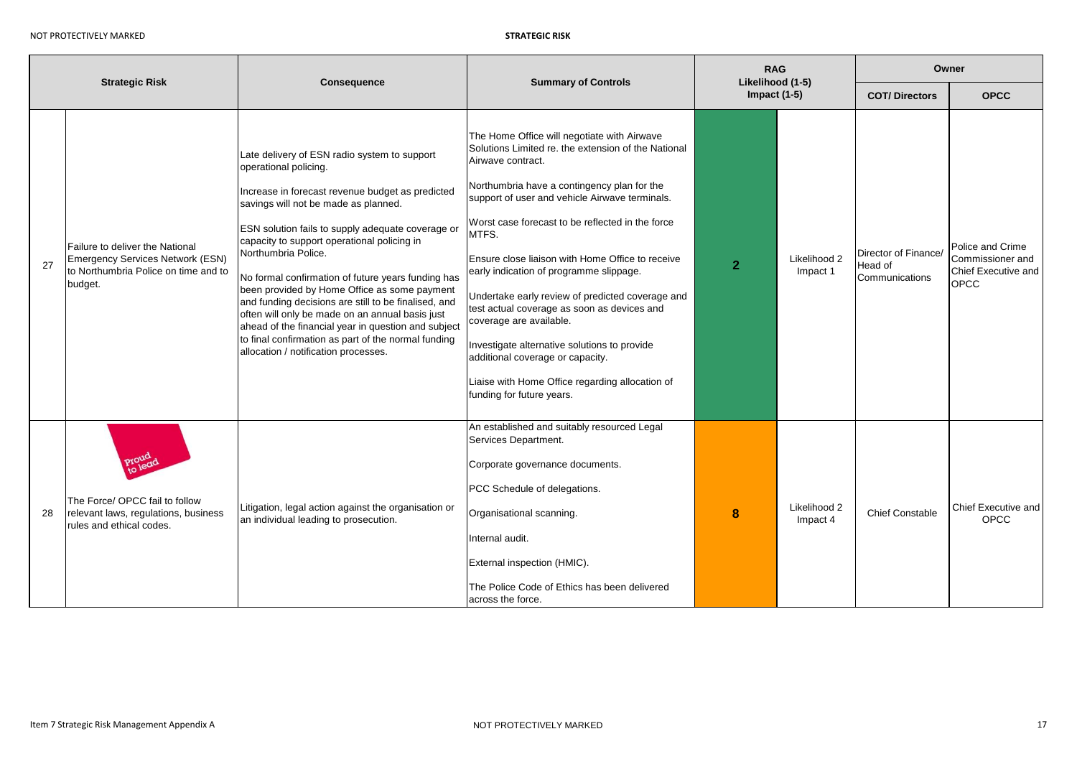|    |                                                                                                                        |                                                                                                                                                                                                                                                                                                                                                                                                                                                                                                                                                                                                                                                                     | <b>Summary of Controls</b>                                                                                                                                                                                                                                                                                                                                                                                                                                                                                                                                                                                                                                                             | <b>RAG</b><br>Likelihood (1-5) |                          | Owner                                             |                                                                            |
|----|------------------------------------------------------------------------------------------------------------------------|---------------------------------------------------------------------------------------------------------------------------------------------------------------------------------------------------------------------------------------------------------------------------------------------------------------------------------------------------------------------------------------------------------------------------------------------------------------------------------------------------------------------------------------------------------------------------------------------------------------------------------------------------------------------|----------------------------------------------------------------------------------------------------------------------------------------------------------------------------------------------------------------------------------------------------------------------------------------------------------------------------------------------------------------------------------------------------------------------------------------------------------------------------------------------------------------------------------------------------------------------------------------------------------------------------------------------------------------------------------------|--------------------------------|--------------------------|---------------------------------------------------|----------------------------------------------------------------------------|
|    | <b>Strategic Risk</b>                                                                                                  | <b>Consequence</b>                                                                                                                                                                                                                                                                                                                                                                                                                                                                                                                                                                                                                                                  |                                                                                                                                                                                                                                                                                                                                                                                                                                                                                                                                                                                                                                                                                        | Impact $(1-5)$                 |                          | <b>COT/Directors</b>                              | <b>OPCC</b>                                                                |
| 27 | Failure to deliver the National<br>Emergency Services Network (ESN)<br>to Northumbria Police on time and to<br>budget. | Late delivery of ESN radio system to support<br>operational policing.<br>Increase in forecast revenue budget as predicted<br>savings will not be made as planned.<br>ESN solution fails to supply adequate coverage or<br>capacity to support operational policing in<br>Northumbria Police.<br>No formal confirmation of future years funding has<br>been provided by Home Office as some payment<br>and funding decisions are still to be finalised, and<br>often will only be made on an annual basis just<br>ahead of the financial year in question and subject<br>to final confirmation as part of the normal funding<br>allocation / notification processes. | The Home Office will negotiate with Airwave<br>Solutions Limited re. the extension of the National<br>Airwave contract.<br>Northumbria have a contingency plan for the<br>support of user and vehicle Airwave terminals.<br>Worst case forecast to be reflected in the force<br>MTFS.<br>Ensure close liaison with Home Office to receive<br>early indication of programme slippage.<br>Undertake early review of predicted coverage and<br>test actual coverage as soon as devices and<br>coverage are available.<br>Investigate alternative solutions to provide<br>additional coverage or capacity.<br>Liaise with Home Office regarding allocation of<br>funding for future years. | $\overline{2}$                 | Likelihood 2<br>Impact 1 | Director of Finance/<br>Head of<br>Communications | Police and Crime<br>Commissioner and<br>Chief Executive and<br><b>OPCC</b> |
| 28 | The Force/ OPCC fail to follow<br>relevant laws, regulations, business<br>rules and ethical codes.                     | Litigation, legal action against the organisation or<br>an individual leading to prosecution.                                                                                                                                                                                                                                                                                                                                                                                                                                                                                                                                                                       | An established and suitably resourced Legal<br>Services Department.<br>Corporate governance documents.<br>PCC Schedule of delegations.<br>Organisational scanning.<br>Internal audit.<br>External inspection (HMIC).<br>The Police Code of Ethics has been delivered<br>across the force.                                                                                                                                                                                                                                                                                                                                                                                              | 8                              | Likelihood 2<br>Impact 4 | <b>Chief Constable</b>                            | Chief Executive and<br>OPCC                                                |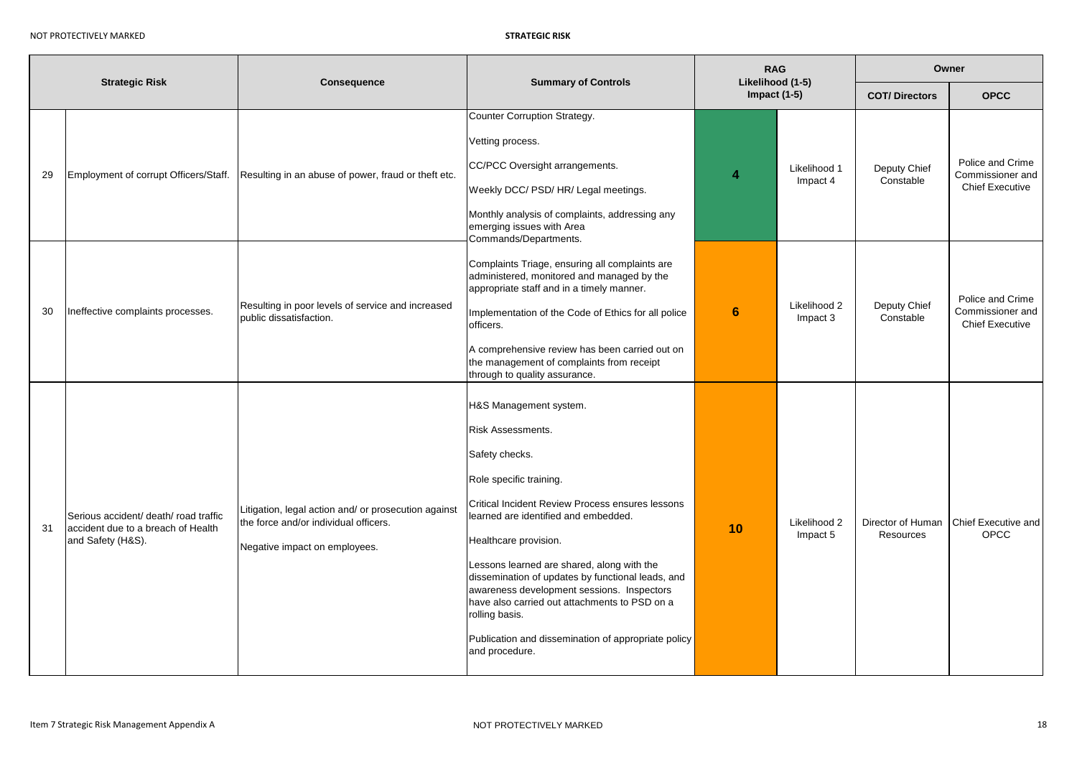| <b>Strategic Risk</b> |                                                                                                  | Consequence                                                                                                                    | <b>Summary of Controls</b>                                                                                                                                                                                                                                                                                                                                                                                                                                                                                 | <b>RAG</b><br>Likelihood (1-5) |                          | Owner                          |                                                                |  |
|-----------------------|--------------------------------------------------------------------------------------------------|--------------------------------------------------------------------------------------------------------------------------------|------------------------------------------------------------------------------------------------------------------------------------------------------------------------------------------------------------------------------------------------------------------------------------------------------------------------------------------------------------------------------------------------------------------------------------------------------------------------------------------------------------|--------------------------------|--------------------------|--------------------------------|----------------------------------------------------------------|--|
|                       |                                                                                                  |                                                                                                                                |                                                                                                                                                                                                                                                                                                                                                                                                                                                                                                            | Impact $(1-5)$                 |                          | <b>COT/Directors</b>           | <b>OPCC</b>                                                    |  |
| 29                    | Employment of corrupt Officers/Staff.                                                            | Resulting in an abuse of power, fraud or theft etc.                                                                            | Counter Corruption Strategy.<br>Vetting process.<br>CC/PCC Oversight arrangements.<br>Weekly DCC/ PSD/ HR/ Legal meetings.<br>Monthly analysis of complaints, addressing any<br>emerging issues with Area<br>Commands/Departments.                                                                                                                                                                                                                                                                         | 4                              | Likelihood 1<br>Impact 4 | Deputy Chief<br>Constable      | Police and Crime<br>Commissioner and<br><b>Chief Executive</b> |  |
| 30                    | Ineffective complaints processes.                                                                | Resulting in poor levels of service and increased<br>public dissatisfaction.                                                   | Complaints Triage, ensuring all complaints are<br>administered, monitored and managed by the<br>appropriate staff and in a timely manner.<br>Implementation of the Code of Ethics for all police<br>officers.<br>A comprehensive review has been carried out on<br>the management of complaints from receipt<br>through to quality assurance.                                                                                                                                                              | $6\phantom{1}$                 | Likelihood 2<br>Impact 3 | Deputy Chief<br>Constable      | Police and Crime<br>Commissioner and<br><b>Chief Executive</b> |  |
| 31                    | Serious accident/ death/ road traffic<br>accident due to a breach of Health<br>and Safety (H&S). | Litigation, legal action and/ or prosecution against<br>the force and/or individual officers.<br>Negative impact on employees. | H&S Management system.<br>Risk Assessments.<br>Safety checks.<br>Role specific training.<br>Critical Incident Review Process ensures lessons<br>learned are identified and embedded.<br>Healthcare provision.<br>Lessons learned are shared, along with the<br>dissemination of updates by functional leads, and<br>awareness development sessions. Inspectors<br>have also carried out attachments to PSD on a<br>rolling basis.<br>Publication and dissemination of appropriate policy<br>and procedure. | 10                             | Likelihood 2<br>Impact 5 | Director of Human<br>Resources | Chief Executive and<br>OPCC                                    |  |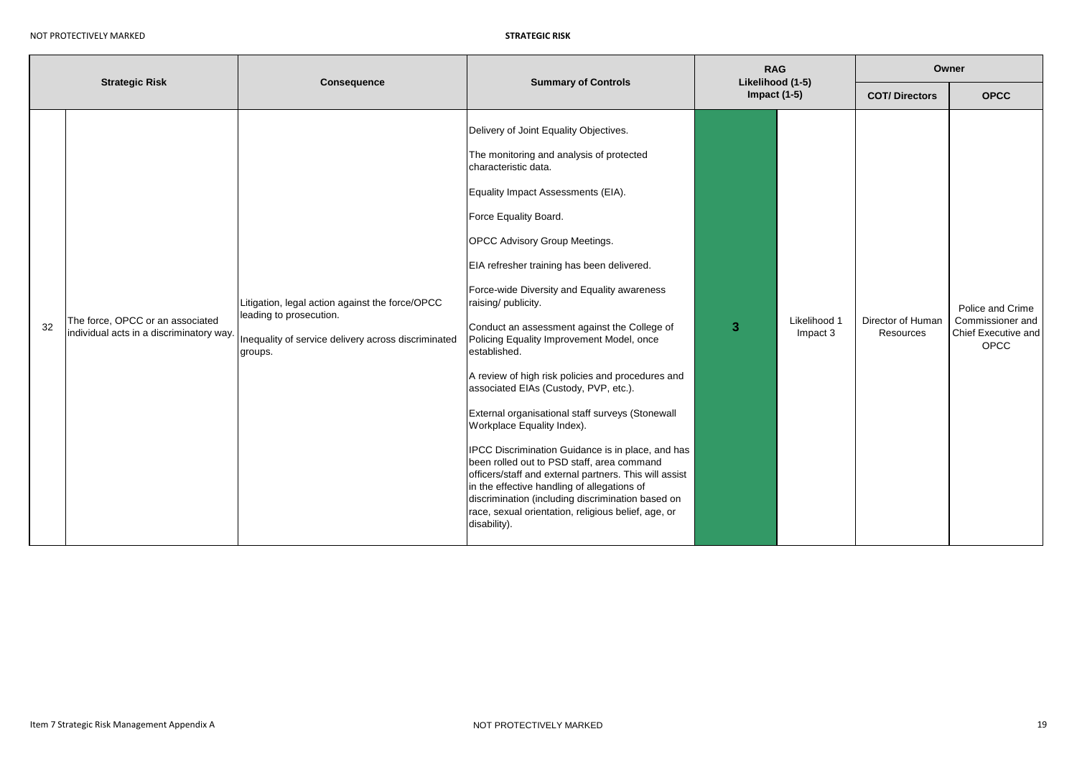| <b>Strategic Risk</b> |                                                                              | <b>Consequence</b>                                                                                                                           | <b>Summary of Controls</b>                                                                                                                                                                                                                                                                                                                                                                                                                                                                                                                                                                                                                                                                                                                                                                                                                                                                                                                                          | <b>RAG</b><br>Likelihood (1-5) |                          | Owner                          |                                                                            |
|-----------------------|------------------------------------------------------------------------------|----------------------------------------------------------------------------------------------------------------------------------------------|---------------------------------------------------------------------------------------------------------------------------------------------------------------------------------------------------------------------------------------------------------------------------------------------------------------------------------------------------------------------------------------------------------------------------------------------------------------------------------------------------------------------------------------------------------------------------------------------------------------------------------------------------------------------------------------------------------------------------------------------------------------------------------------------------------------------------------------------------------------------------------------------------------------------------------------------------------------------|--------------------------------|--------------------------|--------------------------------|----------------------------------------------------------------------------|
|                       |                                                                              |                                                                                                                                              |                                                                                                                                                                                                                                                                                                                                                                                                                                                                                                                                                                                                                                                                                                                                                                                                                                                                                                                                                                     | Impact $(1-5)$                 |                          | <b>COT/Directors</b>           | <b>OPCC</b>                                                                |
| 32                    | The force, OPCC or an associated<br>individual acts in a discriminatory way. | Litigation, legal action against the force/OPCC<br>leading to prosecution.<br>Inequality of service delivery across discriminated<br>groups. | Delivery of Joint Equality Objectives.<br>The monitoring and analysis of protected<br>characteristic data.<br>Equality Impact Assessments (EIA).<br>Force Equality Board.<br>OPCC Advisory Group Meetings.<br>EIA refresher training has been delivered.<br>Force-wide Diversity and Equality awareness<br>raising/ publicity.<br>Conduct an assessment against the College of<br>Policing Equality Improvement Model, once<br>established.<br>A review of high risk policies and procedures and<br>associated EIAs (Custody, PVP, etc.).<br>External organisational staff surveys (Stonewall<br>Workplace Equality Index).<br>IPCC Discrimination Guidance is in place, and has<br>been rolled out to PSD staff, area command<br>officers/staff and external partners. This will assist<br>in the effective handling of allegations of<br>discrimination (including discrimination based on<br>race, sexual orientation, religious belief, age, or<br>disability). | 3                              | Likelihood 1<br>Impact 3 | Director of Human<br>Resources | Police and Crime<br>Commissioner and<br>Chief Executive and<br><b>OPCC</b> |